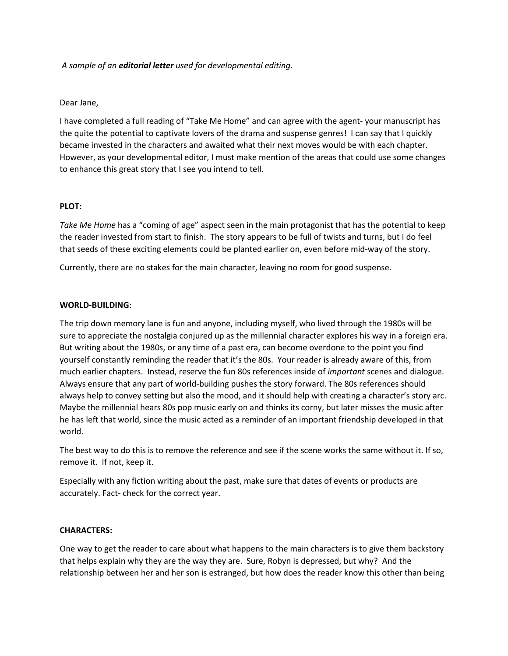### *A sample of an editorial letter used for developmental editing.*

### Dear Jane,

I have completed a full reading of "Take Me Home" and can agree with the agent- your manuscript has the quite the potential to captivate lovers of the drama and suspense genres! I can say that I quickly became invested in the characters and awaited what their next moves would be with each chapter. However, as your developmental editor, I must make mention of the areas that could use some changes to enhance this great story that I see you intend to tell.

### **PLOT:**

*Take Me Home* has a "coming of age" aspect seen in the main protagonist that has the potential to keep the reader invested from start to finish. The story appears to be full of twists and turns, but I do feel that seeds of these exciting elements could be planted earlier on, even before mid-way of the story.

Currently, there are no stakes for the main character, leaving no room for good suspense.

### **WORLD-BUILDING**:

The trip down memory lane is fun and anyone, including myself, who lived through the 1980s will be sure to appreciate the nostalgia conjured up as the millennial character explores his way in a foreign era. But writing about the 1980s, or any time of a past era, can become overdone to the point you find yourself constantly reminding the reader that it's the 80s. Your reader is already aware of this, from much earlier chapters. Instead, reserve the fun 80s references inside of *important* scenes and dialogue. Always ensure that any part of world-building pushes the story forward. The 80s references should always help to convey setting but also the mood, and it should help with creating a character's story arc. Maybe the millennial hears 80s pop music early on and thinks its corny, but later misses the music after he has left that world, since the music acted as a reminder of an important friendship developed in that world.

The best way to do this is to remove the reference and see if the scene works the same without it. If so, remove it. If not, keep it.

Especially with any fiction writing about the past, make sure that dates of events or products are accurately. Fact- check for the correct year.

#### **CHARACTERS:**

One way to get the reader to care about what happens to the main characters is to give them backstory that helps explain why they are the way they are. Sure, Robyn is depressed, but why? And the relationship between her and her son is estranged, but how does the reader know this other than being